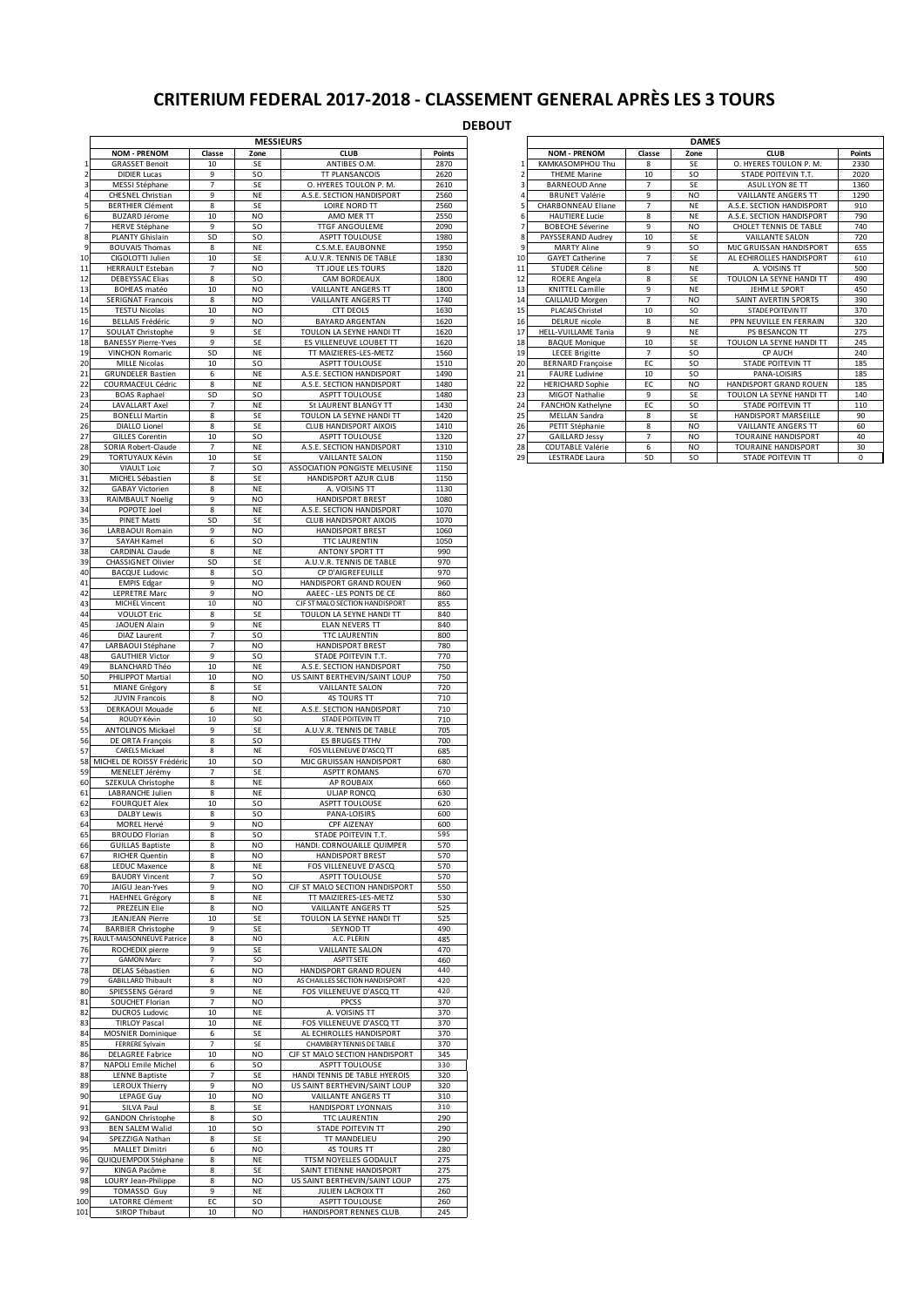## **CRITERIUM FEDERAL 2017-2018 - CLASSEMENT GENERAL APRÈS LES 3 TOURS**

## **DEBOUT**

|           |                                                   |                      | <b>MESSIEURS</b>       |                                                            |              |                     |                                                   |              | <b>DAMES</b>    |                                              |              |
|-----------|---------------------------------------------------|----------------------|------------------------|------------------------------------------------------------|--------------|---------------------|---------------------------------------------------|--------------|-----------------|----------------------------------------------|--------------|
|           | <b>NOM - PRENOM</b>                               | Classe               | Zone                   | <b>CLUB</b>                                                | Points       |                     | <b>NOM - PRENOM</b>                               | Classe       | Zone            | <b>CLUB</b>                                  | Point        |
|           | <b>GRASSET Benoit</b>                             | 10                   | SE                     | ANTIBES O.M.                                               | 2870         |                     | KAMKASOMPHOU Thu                                  | 8            | SE              | O. HYERES TOULON P. M.                       | 2330         |
|           | <b>DIDIER Lucas</b><br>MESSI Stéphane             | 9<br>7               | SΟ<br>SE               | <b>TT PLANSANCOIS</b><br>O. HYERES TOULON P. M.            | 2620<br>2610 | $\overline{2}$<br>3 | <b>THEME Marine</b><br><b>BARNEOUD Anne</b>       | 10<br>7      | SO<br>SE        | STADE POITEVIN T.T.<br>ASUL LYON 8E TT       | 2020<br>1360 |
|           | <b>CHESNEL Christian</b>                          | 9                    | ΝE                     | A.S.E. SECTION HANDISPORT                                  | 2560         |                     | <b>BRUNET Valérie</b>                             | 9            | N <sub>O</sub>  | <b>VAILLANTE ANGERS TT</b>                   | 1290         |
|           | <b>BERTHIER Clément</b>                           | $\bf 8$              | SE                     | LOIRE NORD TT                                              | 2560         | 5                   | CHARBONNEAU Eliane                                | 7            | NE              | A.S.E. SECTION HANDISPORT                    | 910          |
|           | <b>BUZARD Jérome</b>                              | 10                   | NO                     | AMO MER TT                                                 | 2550         | 6                   | HAUTIERE Lucie                                    | 8            | NE              | A.S.E. SECTION HANDISPORT                    | 790          |
|           | <b>HERVE Stéphane</b><br>PLANTY Ghislain          | 9<br>SD              | SO<br>SO.              | TTGF ANGOULEME<br><b>ASPTT TOULOUSE</b>                    | 2090<br>1980 | 7<br>8              | <b>BOBECHE Séverine</b><br>PAYSSERAND Audrey      | 9<br>10      | NO<br>SE        | CHOLET TENNIS DE TABLE<br>VAILLANTE SALON    | 740<br>720   |
|           | <b>BOUVAIS Thomas</b>                             | 8                    | NE                     | C.S.M.E. EAUBONNE                                          | 1950         | 9                   | <b>MARTY Aline</b>                                | 9            | SO              | MJC GRUISSAN HANDISPORT                      | 655          |
| 10        | CIGOLOTTI Julien                                  | 10                   | SE                     | A.U.V.R. TENNIS DE TABLE                                   | 1830         | 10                  | <b>GAYET Catherine</b>                            | 7            | SE              | AL ECHIROLLES HANDISPORT                     | 610          |
| 11<br>12  | <b>HERRAULT Esteban</b><br><b>DEBEYSSAC Elias</b> | 7<br>8               | NO<br><b>SO</b>        | TT JOUE LES TOURS<br>CAM BORDEAUX                          | 1820<br>1800 | 11<br>12            | STUDER Céline<br>ROERE Angela                     | 8<br>8       | NE<br>SE        | A. VOISINS TT<br>TOULON LA SEYNE HANDI TT    | 500<br>490   |
| 13        | BOHEAS matéo                                      | 10                   | <b>NO</b>              | VAILLANTE ANGERS TT                                        | 1800         | 13                  | <b>KNITTEL Camille</b>                            | 9            | NE              | JEHM LE SPORT                                | 450          |
| 14        | <b>SERIGNAT Francois</b>                          | 8                    | NO                     | VAILLANTE ANGERS TT                                        | 1740         | 14                  | CAILLAUD Morgen                                   | 7            | N <sub>O</sub>  | SAINT AVERTIN SPORTS                         | 390          |
| 15        | <b>TESTU Nicolas</b>                              | 10<br>9              | N <sub>O</sub><br>NO   | <b>CTT DEOLS</b><br><b>BAYARD ARGENTAN</b>                 | 1630<br>1620 | 15<br>16            | PLACAIS Christel<br>DELRUE nicole                 | 10           | SO              | STADE POITEVIN TT<br>PPN NEUVILLE EN FERRAIN | 370<br>320   |
| 16<br>17  | <b>BELLAIS Frédéric</b><br>SOULAT Christophe      | 9                    | SE                     | TOULON LA SEYNE HANDI TT                                   | 1620         | 17                  | HELL-VUILLAME Tania                               | 8<br>9       | NE<br>NE        | PS BESANCON TT                               | 275          |
| 18        | <b>BANESSY Pierre-Yves</b>                        | 9                    | SE                     | ES VILLENEUVE LOUBET TT                                    | 1620         | 18                  | <b>BAQUE Monique</b>                              | 10           | SE              | TOULON LA SEYNE HANDI TT                     | 245          |
| 19        | <b>VINCHON Romaric</b>                            | SD                   | NE                     | TT MAIZIERES-LES-METZ                                      | 1560         | 19                  | <b>LECEE Brigitte</b>                             | 7            | SO              | CP AUCH                                      | 240          |
| 20<br>21  | <b>MILLE Nicolas</b><br><b>GRUNDELER Bastien</b>  | 10<br>6              | SΟ<br>ΝE               | <b>ASPTT TOULOUSE</b><br>A.S.E. SECTION HANDISPORT         | 1510<br>1490 | 20<br>21            | <b>BERNARD Françoise</b><br><b>FAURE Ludivine</b> | EC<br>$10\,$ | SO<br>SO        | <b>STADE POITEVIN TT</b><br>PANA-LOISIRS     | 185<br>185   |
| 22        | COURMACEUL Cédric                                 | 8                    | NE                     | A.S.E. SECTION HANDISPORT                                  | 1480         | 22                  | <b>HERICHARD Sophie</b>                           | EC           | N <sub>O</sub>  | HANDISPORT GRAND ROUEN                       | 185          |
| 23        | <b>BOAS Raphael</b>                               | SD                   | SO                     | ASPTT TOULOUSE                                             | 1480         | 23                  | MIGOT Nathalie                                    | 9            | SE              | TOULON LA SEYNE HANDI TT                     | 140          |
| 24<br>25  | <b>LAVALLART Axel</b><br><b>BONELLI Martin</b>    | $\overline{7}$<br>8  | NE<br>SE               | St LAURENT BLANGY TT<br>TOULON LA SEYNE HANDI TT           | 1430<br>1420 | 24<br>25            | <b>FANCHON Kathelyne</b><br>MELLAN Sandra         | EC<br>8      | <b>SO</b><br>SE | STADE POITEVIN TT<br>HANDISPORT MARSEILLE    | 110<br>90    |
| 26        | DIALLO Lionel                                     | 8                    | SE                     | CLUB HANDISPORT AIXOIS                                     | 1410         | 26                  | PETIT Stéphanie                                   | 8            | N <sub>O</sub>  | VAILLANTE ANGERS TT                          | 60           |
| 27        | <b>GILLES Corentin</b>                            | $10\,$               | SΟ                     | ASPTT TOULOUSE                                             | 1320         | 27                  | <b>GAILLARD Jessy</b>                             | 7            | NO              | TOURAINE HANDISPORT                          | 40           |
| 28        | SORIA Robert-Claude                               | $\overline{7}$       | NE                     | A.S.E. SECTION HANDISPORT                                  | 1310         | 28                  | COUTABLE Valérie                                  | 6            | NO              | <b>TOURAINE HANDISPORT</b>                   | 30           |
| 29<br>30  | <b>TORTUYAUX Kévin</b><br><b>VIAULT Loic</b>      | 10<br>$\overline{7}$ | SE<br>SO.              | VAILLANTE SALON<br>ASSOCIATION PONGISTE MELUSINE           | 1150<br>1150 | 29                  | LESTRADE Laura                                    | SD           | SO              | STADE POITEVIN TT                            | 0            |
| 31        | MICHEL Sébastien                                  | 8                    | SE                     | HANDISPORT AZUR CLUB                                       | 1150         |                     |                                                   |              |                 |                                              |              |
| 32        | <b>GABAY Victorien</b>                            | 8                    | NE                     | A. VOISINS TT                                              | 1130         |                     |                                                   |              |                 |                                              |              |
| 33<br>34  | RAIMBAULT Noelig<br>POPOTE Joel                   | 9<br>8               | <b>NO</b><br><b>NE</b> | HANDISPORT BREST<br>A.S.E. SECTION HANDISPORT              | 1080<br>1070 |                     |                                                   |              |                 |                                              |              |
| 35        | PINET Matti                                       | SD                   | SE                     | <b>CLUB HANDISPORT AIXOIS</b>                              | 1070         |                     |                                                   |              |                 |                                              |              |
| 36<br>37  | LARBAOUI Romain                                   | 9<br>6               | NO<br>SO               | HANDISPORT BREST                                           | 1060         |                     |                                                   |              |                 |                                              |              |
| 38        | SAYAH Kamel<br><b>CARDINAL Claude</b>             | 8                    | NE                     | <b>TTC LAURENTIN</b><br>ANTONY SPORT TT                    | 1050<br>990  |                     |                                                   |              |                 |                                              |              |
| 39        | CHASSIGNET Olivier                                | SD                   | SE                     | A.U.V.R. TENNIS DE TABLE                                   | 970          |                     |                                                   |              |                 |                                              |              |
| 40        | <b>BACQUE Ludovic</b>                             | 8                    | <b>SO</b>              | CP D'AIGREFEUILLE                                          | 970          |                     |                                                   |              |                 |                                              |              |
| 41<br>42  | <b>EMPIS Edgar</b><br><b>LEPRETRE Marc</b>        | 9<br>9               | <b>NO</b><br>NO        | HANDISPORT GRAND ROUEN<br>AAEEC - LES PONTS DE CE          | 960<br>860   |                     |                                                   |              |                 |                                              |              |
| 43        | MICHEL Vincent                                    | 10                   | NO                     | CJF ST MALO SECTION HANDISPORT                             | 855          |                     |                                                   |              |                 |                                              |              |
| 44        | <b>VOULOT Eric</b>                                | 8                    | SE                     | TOULON LA SEYNE HANDI TT                                   | 840          |                     |                                                   |              |                 |                                              |              |
| 45<br>46  | JAOUEN Alain<br>DIAZ Laurent                      | 9<br>$\overline{7}$  | NE<br><b>SO</b>        | <b>ELAN NEVERS TT</b><br><b>TTC LAURENTIN</b>              | 840<br>800   |                     |                                                   |              |                 |                                              |              |
| 47        | LARBAOUI Stéphane                                 | 7                    | <b>NO</b>              | <b>HANDISPORT BREST</b>                                    | 780          |                     |                                                   |              |                 |                                              |              |
| 48<br>49  | <b>GAUTHIER Victor</b><br><b>BLANCHARD Théo</b>   | 9<br>10              | <b>SO</b><br>NE        | STADE POITEVIN T.T.<br>A.S.E. SECTION HANDISPORT           | 770<br>750   |                     |                                                   |              |                 |                                              |              |
| 50        | PHILIPPOT Martial                                 | 10                   | NO                     | US SAINT BERTHEVIN/SAINT LOUP                              | 750          |                     |                                                   |              |                 |                                              |              |
| 51        | MIANE Grégory                                     | 8                    | SE                     | VAILLANTE SALON                                            | 720          |                     |                                                   |              |                 |                                              |              |
| 52<br>53  | <b>JUVIN Francois</b><br>DERKAOUI Mouade          | 8<br>6               | NO<br>NE               | <b>4S TOURS TT</b><br>A.S.E. SECTION HANDISPORT            | 710<br>710   |                     |                                                   |              |                 |                                              |              |
| 54        | ROUDY Kévin                                       | 10                   | SO                     | STADE POITEVIN TT                                          | 710          |                     |                                                   |              |                 |                                              |              |
| 55        | <b>ANTOLINOS Mickael</b>                          | 9                    | SE                     | A.U.V.R. TENNIS DE TABLE                                   | 705          |                     |                                                   |              |                 |                                              |              |
| 56<br>57  | DE ORTA François<br><b>CARELS Mickael</b>         | 8<br>8               | <b>SO</b><br>NE        | <b>ES BRUGES TTHV</b><br>FOS VILLENEUVE D'ASCQ TT          | 700<br>685   |                     |                                                   |              |                 |                                              |              |
| 58        | MICHEL DE ROISSY Frédéric                         | 10                   | SΟ                     | MJC GRUISSAN HANDISPORT                                    | 680          |                     |                                                   |              |                 |                                              |              |
| 59        | MENELET Jérémy                                    | 7                    | SE                     | <b>ASPTT ROMANS</b>                                        | 670          |                     |                                                   |              |                 |                                              |              |
| 60<br>61  | SZEKULA Christophe<br>LABRANCHE Julien            | 8<br>8               | NE<br>NE               | <b>AP ROUBAIX</b><br><b>ULIAP RONCQ</b>                    | 660<br>630   |                     |                                                   |              |                 |                                              |              |
| 62        | <b>FOURQUET Alex</b>                              | 10                   | SΟ                     | <b>ASPTT TOULOUSE</b>                                      | 620          |                     |                                                   |              |                 |                                              |              |
| 63<br>64  | DALBY Lewis<br>MOREL Hervé                        | 8<br>9               | SO.<br>NO              | PANA-LOISIRS<br>CPF AIZENAY                                | 600<br>600   |                     |                                                   |              |                 |                                              |              |
| 65        | BROUDO Floriar                                    |                      | <b>SO</b>              | STADE POITEVIN T.                                          | 595          |                     |                                                   |              |                 |                                              |              |
| 66        | <b>GUILLAS Baptiste</b>                           | 8                    | <b>NO</b>              | HANDI. CORNOUAILLE QUIMPER                                 | 570          |                     |                                                   |              |                 |                                              |              |
| 67<br>68  | <b>RICHER Quentin</b><br>LEDUC Maxence            | 8<br>8               | NO<br>NE               | <b>HANDISPORT BREST</b><br>FOS VILLENEUVE D'ASCQ           | 570<br>570   |                     |                                                   |              |                 |                                              |              |
| 69        | <b>BAUDRY Vincent</b>                             | $\overline{7}$       | SO.                    | ASPTT TOULOUSE                                             | 570          |                     |                                                   |              |                 |                                              |              |
| 70        | JAIGU Jean-Yves                                   | 9                    | <b>NO</b>              | CJF ST MALO SECTION HANDISPORT                             | 550          |                     |                                                   |              |                 |                                              |              |
| 71<br>72  | <b>HAEHNEL Grégory</b><br>PREZELIN Elie           | 8<br>8               | NE<br>NO               | TT MAIZIERES-LES-METZ<br>VAILLANTE ANGERS TT               | 530<br>525   |                     |                                                   |              |                 |                                              |              |
| 73        | JEANJEAN Pierre                                   | 10                   | SE                     | TOULON LA SEYNE HANDI TT                                   | 525          |                     |                                                   |              |                 |                                              |              |
| 74        | <b>BARBIER Christophe</b>                         | 9                    | SE                     | SEYNOD TT                                                  | 490          |                     |                                                   |              |                 |                                              |              |
| 75<br>76  | RAULT-MAISONNEUVE Patrice<br>ROCHEDIX pierre      | 8<br>9               | NO<br>SE               | A.C. PLERIN<br><b>VAILLANTE SALON</b>                      | 485<br>470   |                     |                                                   |              |                 |                                              |              |
| 77        | <b>GAMON Marc</b>                                 | $\overline{7}$       | SO                     | ASPTT SETE                                                 | 460          |                     |                                                   |              |                 |                                              |              |
| 78        | DELAS Sébastien                                   | 6                    | NO                     | HANDISPORT GRAND ROUEN                                     | 440          |                     |                                                   |              |                 |                                              |              |
| 79<br>80  | <b>GABILLARD Thibault</b><br>SPIESSENS Gérard     | 8<br>9               | NO<br>NE               | AS CHAILLES SECTION HANDISPORT<br>FOS VILLENEUVE D'ASCQ TT | 420<br>420   |                     |                                                   |              |                 |                                              |              |
| 81        | SOUCHET Florian                                   | $\overline{7}$       | NO                     | PPCSS                                                      | 370          |                     |                                                   |              |                 |                                              |              |
| 82        | <b>DUCROS Ludovic</b>                             | 10                   | NE                     | A. VOISINS TT                                              | 370          |                     |                                                   |              |                 |                                              |              |
| 83<br>84  | <b>TIRLOY Pascal</b><br>MOSNIER Dominique         | 10<br>6              | ΝE<br>SE               | FOS VILLENEUVE D'ASCQ TT<br>AL ECHIROLLES HANDISPORT       | 370<br>370   |                     |                                                   |              |                 |                                              |              |
| 85        | FERRERE Sylvain                                   | $\overline{7}$       | SE                     | CHAMBERY TENNIS DE TABLE                                   | 370          |                     |                                                   |              |                 |                                              |              |
| 86        | <b>DELAGREE Fabrice</b>                           | 10                   | NO                     | CJF ST MALO SECTION HANDISPORT                             | 345          |                     |                                                   |              |                 |                                              |              |
| 87<br>88  | NAPOLI Emile Michel<br>LENNE Baptiste             | 6<br>$\overline{7}$  | SO.<br>SE              | ASPTT TOULOUSE<br>HANDI TENNIS DE TABLE HYEROIS            | 330<br>320   |                     |                                                   |              |                 |                                              |              |
| 89        | LEROUX Thierry                                    | 9                    | NO                     | US SAINT BERTHEVIN/SAINT LOUP                              | 320          |                     |                                                   |              |                 |                                              |              |
| 90        | LEPAGE Guy                                        | 10                   | <b>NO</b>              | VAILLANTE ANGERS TT                                        | 310          |                     |                                                   |              |                 |                                              |              |
| 91<br>92  | SILVA Paul<br><b>GANDON Christophe</b>            | 8<br>8               | SE<br>SΟ               | HANDISPORT LYONNAIS<br><b>TTC LAURENTIN</b>                | 310<br>290   |                     |                                                   |              |                 |                                              |              |
| 93        | <b>BEN SALEM Walid</b>                            | 10                   | SO.                    | STADE POITEVIN TT                                          | 290          |                     |                                                   |              |                 |                                              |              |
| 94        | SPEZZIGA Nathan                                   | 8                    | SE                     | TT MANDELIEU                                               | 290          |                     |                                                   |              |                 |                                              |              |
| 95<br>96  | <b>MALLET Dimitri</b><br>QUIQUEMPOIX Stéphane     | 6<br>8               | NO<br>NE               | <b>4S TOURS TT</b><br>TTSM NOYELLES GODAULT                | 280<br>275   |                     |                                                   |              |                 |                                              |              |
| 97        | KINGA Pacôme                                      | 8                    | SE                     | SAINT ETIENNE HANDISPORT                                   | 275          |                     |                                                   |              |                 |                                              |              |
| 98        | LOURY Jean-Philippe                               | 8                    | NO                     | US SAINT BERTHEVIN/SAINT LOUP                              | 275          |                     |                                                   |              |                 |                                              |              |
| 99<br>100 | TOMASSO Guy<br>LATORRE Clément                    | 9<br>EC              | NE<br><b>SO</b>        | JULIEN LACROIX TT<br>ASPTT TOULOUSE                        | 260<br>260   |                     |                                                   |              |                 |                                              |              |
| 101       | SIROP Thibaut                                     | 10                   | <b>NO</b>              | HANDISPORT RENNES CLUB                                     | 245          |                     |                                                   |              |                 |                                              |              |

| MESSIEURS                |                |                |                                |               |    | <b>DAMES</b>              |                |                |                            |               |  |
|--------------------------|----------------|----------------|--------------------------------|---------------|----|---------------------------|----------------|----------------|----------------------------|---------------|--|
| <b>NOM - PRENOM</b>      | Classe         | Zone           | <b>CLUB</b>                    | <b>Points</b> |    | <b>NOM - PRENOM</b>       | Classe         | Zone           | <b>CLUB</b>                | <b>Points</b> |  |
| <b>GRASSET Benoit</b>    | 10             | <b>SE</b>      | ANTIBES O.M.                   | 2870          |    | KAMKASOMPHOU Thu          | 8              | SE             | O. HYERES TOULON P. M.     | 2330          |  |
| <b>DIDIER Lucas</b>      | 9              | <b>SO</b>      | <b>TT PLANSANCOIS</b>          | 2620          |    | <b>THEME Marine</b>       | 10             | <b>SO</b>      | STADE POITEVIN T.T.        | 2020          |  |
| MESSI Stéphane           | 7              | <b>SE</b>      | O. HYERES TOULON P. M.         | 2610          |    | <b>BARNEOUD Anne</b>      | $\overline{7}$ | SE             | ASUL LYON 8E TT            | 1360          |  |
| <b>HESNEL Christian</b>  | 9              | <b>NE</b>      | A.S.E. SECTION HANDISPORT      | 2560          |    | <b>BRUNET Valérie</b>     | 9              | N <sub>O</sub> | <b>VAILLANTE ANGERS TT</b> | 1290          |  |
| <b>ERTHIER Clément</b>   | 8              | <b>SE</b>      | LOIRE NORD TT                  | 2560          |    | <b>CHARBONNEAU Eliane</b> | $\overline{7}$ | <b>NE</b>      | A.S.E. SECTION HANDISPORT  | 910           |  |
| <b>BUZARD Jérome</b>     | 10             | N <sub>O</sub> | AMO MER TT                     | 2550          |    | <b>HAUTIERE Lucie</b>     | 8              | <b>NE</b>      | A.S.E. SECTION HANDISPORT  | 790           |  |
| <b>HERVE Stéphane</b>    | 9              | <b>SO</b>      | <b>TTGF ANGOULEME</b>          | 2090          |    | <b>BOBECHE Séverine</b>   | 9              | <b>NO</b>      | CHOLET TENNIS DE TABLE     | 740           |  |
| <b>PLANTY Ghislain</b>   | SD             | <b>SO</b>      | <b>ASPTT TOULOUSE</b>          | 1980          |    | PAYSSERAND Audrey         | 10             | SE             | <b>VAILLANTE SALON</b>     | 720           |  |
| <b>BOUVAIS Thomas</b>    | 8              | <b>NE</b>      | C.S.M.E. EAUBONNE              | 1950          |    | <b>MARTY Aline</b>        | 9              | <b>SO</b>      | MJC GRUISSAN HANDISPORT    | 655           |  |
| CIGOLOTTI Julien         | 10             | <b>SE</b>      | A.U.V.R. TENNIS DE TABLE       | 1830          | 10 | <b>GAYET Catherine</b>    | $\overline{ }$ | SE             | AL ECHIROLLES HANDISPORT   | 610           |  |
| <b>ERRAULT Esteban</b>   | $\overline{7}$ | N <sub>O</sub> | <b>TT JOUE LES TOURS</b>       | 1820          | 11 | STUDER Céline             | 8              | <b>NE</b>      | A. VOISINS TT              | 500           |  |
| DEBEYSSAC Elias          | 8              | <b>SO</b>      | CAM BORDEAUX                   | 1800          | 12 | ROERE Angela              | 8              | SE             | TOULON LA SEYNE HANDI TT   | 490           |  |
| <b>BOHEAS</b> matéo      | 10             | N <sub>O</sub> | <b>VAILLANTE ANGERS TT</b>     | 1800          | 13 | <b>KNITTEL Camille</b>    | 9              | <b>NE</b>      | JEHM LE SPORT              | 450           |  |
| <b>ERIGNAT Francois</b>  | 8              | N <sub>O</sub> | <b>VAILLANTE ANGERS TT</b>     | 1740          | 14 | CAILLAUD Morgen           | $\overline{7}$ | N <sub>O</sub> | SAINT AVERTIN SPORTS       | 390           |  |
| <b>TESTU Nicolas</b>     | 10             | N <sub>O</sub> | <b>CTT DEOLS</b>               | 1630          | 15 | PLACAIS Christel          | 10             | <sub>SO</sub>  | STADE POITEVIN TT          | 370           |  |
| <b>BELLAIS Frédéric</b>  | 9              | <b>NO</b>      | <b>BAYARD ARGENTAN</b>         | 1620          | 16 | DELRUE nicole             | 8              | <b>NE</b>      | PPN NEUVILLE EN FERRAIN    | 320           |  |
| <b>OULAT Christophe</b>  | 9              | <b>SE</b>      | TOULON LA SEYNE HANDI TT       | 1620          | 17 | HELL-VUILLAME Tania       | 9              | <b>NE</b>      | PS BESANCON TT             | 275           |  |
| <b>NESSY Pierre-Yves</b> | 9              | SF             | <b>FS VILLENEUVE LOUBET TT</b> | 1620          | 18 | <b>BAQUE Monique</b>      | 10             | <b>SF</b>      | TOULON LA SEYNE HANDLTT    | 245           |  |
| <b>INCHON Romaric</b>    | SD             | <b>NE</b>      | TT MAIZIERES-LES-METZ          | 1560          | 19 | <b>LECEE Brigitte</b>     | $\overline{7}$ | <sub>SO</sub>  | <b>CP AUCH</b>             | 240           |  |
| <b>MILLE Nicolas</b>     | 10             | <b>SO</b>      | <b>ASPTT TOULOUSE</b>          | 1510          | 20 | <b>BERNARD Françoise</b>  | EC             | <b>SO</b>      | <b>STADE POITEVIN TT</b>   | 185           |  |
| RUNDELER Bastien         | 6              | <b>NE</b>      | A.S.E. SECTION HANDISPORT      | 1490          | 21 | <b>FAURE Ludivine</b>     | 10             | <b>SO</b>      | PANA-LOISIRS               | 185           |  |
| )URMACEUL Cédric         | 8              | <b>NE</b>      | A.S.E. SECTION HANDISPORT      | 1480          | 22 | <b>HERICHARD Sophie</b>   | EC             | N <sub>O</sub> | HANDISPORT GRAND ROUEN     | 185           |  |
| <b>BOAS Raphael</b>      | SD             | <b>SO</b>      | <b>ASPTT TOULOUSE</b>          | 1480          | 23 | MIGOT Nathalie            | 9              | SE             | TOULON LA SEYNE HANDI TT   | 140           |  |
| <b>LAVALLART Axel</b>    | $\overline{7}$ | <b>NE</b>      | St LAURENT BLANGY TT           | 1430          | 24 | <b>FANCHON Kathelyne</b>  | EC.            | <b>SO</b>      | <b>STADE POITEVIN TT</b>   | 110           |  |
| <b>BONELLI Martin</b>    | 8              | <b>SE</b>      | TOULON LA SEYNE HANDI TT       | 1420          | 25 | <b>MELLAN Sandra</b>      | 8              | SE             | HANDISPORT MARSEILLE       | 90            |  |
| DIALLO Lionel            | 8              | <b>SE</b>      | <b>CLUB HANDISPORT AIXOIS</b>  | 1410          | 26 | PETIT Stéphanie           | 8              | N <sub>O</sub> | VAILLANTE ANGERS TT        | 60            |  |
| <b>GILLES Corentin</b>   | 10             | <b>SO</b>      | <b>ASPTT TOULOUSE</b>          | 1320          | 27 | <b>GAILLARD Jessy</b>     | $\overline{7}$ | N <sub>O</sub> | <b>TOURAINE HANDISPORT</b> | 40            |  |
| RIA Robert-Claude        | 7              | <b>NE</b>      | A.S.E. SECTION HANDISPORT      | 1310          | 28 | <b>COUTABLE Valérie</b>   | 6              | <b>NO</b>      | <b>TOURAINE HANDISPORT</b> | 30            |  |
| ORTUYAUX Kévin           | 10             | <b>SE</b>      | <b>VAILLANTE SALON</b>         | 1150          | 29 | <b>LESTRADE Laura</b>     | SD             | SO.            | <b>STADE POITEVIN TT</b>   | $\Omega$      |  |